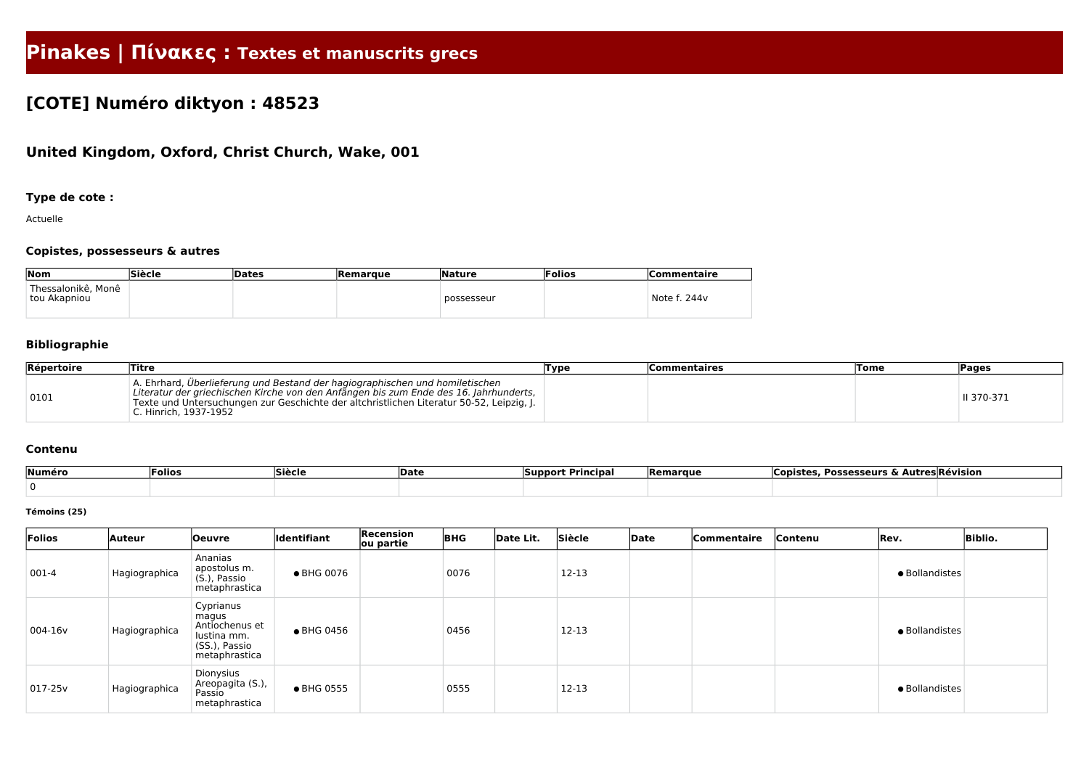# **Pinakes | Πίνακες : Textes et manuscrits grecs**

# **[COTE] Numéro diktyon : 48523**

## **United Kingdom, Oxford, Christ Church, Wake, 001**

### **Type de cote :**

Actuelle

### **Copistes, possesseurs & autres**

| Nom                                  | Siècle | Dates | <b>Remarque</b> | <b>Nature</b> | Folios | Commentaire  |
|--------------------------------------|--------|-------|-----------------|---------------|--------|--------------|
| ' Thessalonikê, Monê<br>tou Akapniou |        |       |                 | possesseur    |        | Note f. 244v |

### **Bibliographie**

| Répertoire | Titre                                                                                                                                                                                                                                                                                      | ,Type | <b>Commentaires</b> | <b>Tome</b> | <b>Pages</b> |
|------------|--------------------------------------------------------------------------------------------------------------------------------------------------------------------------------------------------------------------------------------------------------------------------------------------|-------|---------------------|-------------|--------------|
| 0101       | A. Ehrhard, Überlieferung und Bestand der hagiographischen und homiletischen<br>Literatur der griechischen Kirche von den Anfängen bis zum Ende des 16. Jahrhunderts,<br>Texte und Untersuchungen zur Geschichte der altchristlichen Literatur 50-52, Leipzig, J.<br>C. Hinrich, 1937-1952 |       |                     |             | II 370-371   |

#### **Contenu**

| Numéro | <b>Folios</b> | <b>Siècle</b> | <b>Date</b> | - -<br>* Principa.<br> Support | Remarque | , Possesseurs & Autres Révision<br>Copiste |  |
|--------|---------------|---------------|-------------|--------------------------------|----------|--------------------------------------------|--|
|        |               |               |             |                                |          |                                            |  |

#### **Témoins (25)**

| Folios    | <b>Auteur</b> | <b>Oeuvre</b>                                                                         | <b>Identifiant</b> | Recension<br>ou partie | <b>BHG</b> | Date Lit. | Siècle    | Date | Commentaire | Contenu | Rev.           | <b>Biblio.</b> |
|-----------|---------------|---------------------------------------------------------------------------------------|--------------------|------------------------|------------|-----------|-----------|------|-------------|---------|----------------|----------------|
| 001-4     | Hagiographica | Ananias<br>apostolus m.<br>$(S1)$ , Passio<br>metaphrastica                           | ● BHG 0076         |                        | 0076       |           | 12-13     |      |             |         | · Bollandistes |                |
| 004-16v   | Hagiographica | Cyprianus<br>magus<br>Antiochenus et<br>lustina mm.<br>(SS.), Passio<br>metaphrastica | ● BHG 0456         |                        | 0456       |           | $12 - 13$ |      |             |         | · Bollandistes |                |
| $017-25v$ | Hagiographica | Dionysius<br>Areopagita (S.),<br>Passio<br>metaphrastica                              | ● BHG 0555         |                        | 0555       |           | $12 - 13$ |      |             |         | • Bollandistes |                |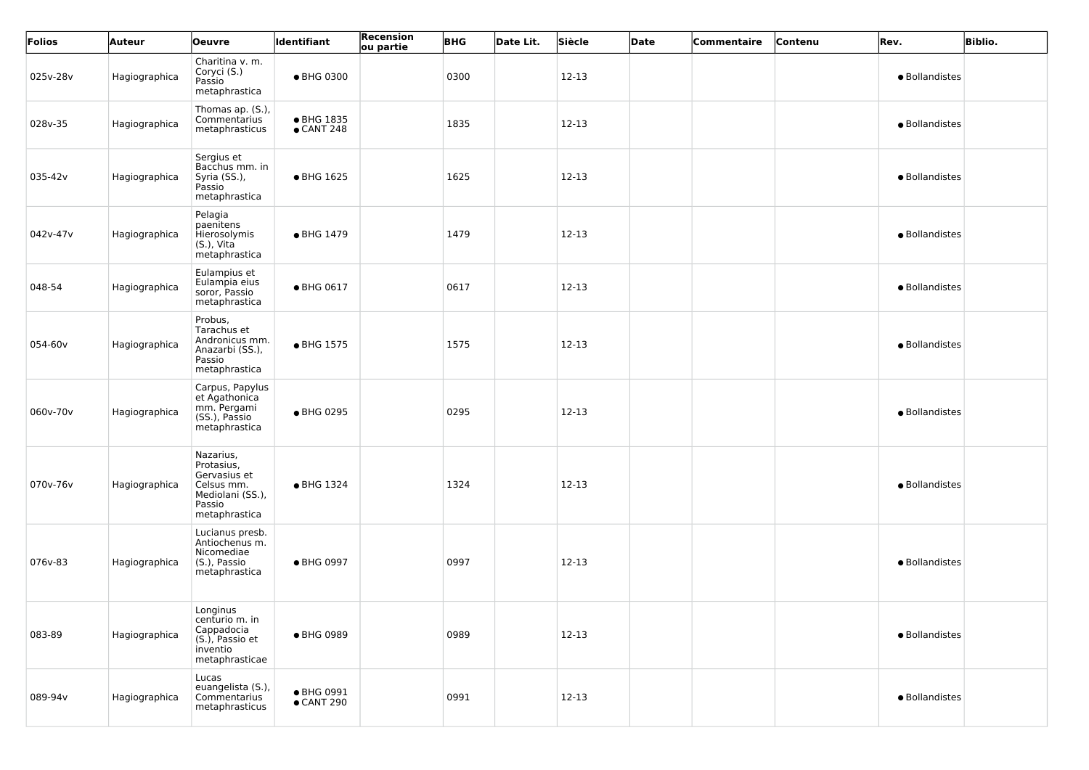| Folios   | <b>Auteur</b> | <b>Oeuvre</b>                                                                                        | Identifiant                      | Recension<br>ou partie | <b>BHG</b> | Date Lit. | Siècle | Date | Commentaire | Contenu | Rev.           | <b>Biblio.</b> |
|----------|---------------|------------------------------------------------------------------------------------------------------|----------------------------------|------------------------|------------|-----------|--------|------|-------------|---------|----------------|----------------|
| 025v-28v | Hagiographica | Charitina v. m.<br>Coryci (S.)<br>Passio<br>metaphrastica                                            | ● BHG 0300                       |                        | 0300       |           | 12-13  |      |             |         | · Bollandistes |                |
| 028v-35  | Hagiographica | Thomas ap. (S.),<br>Commentarius<br>metaphrasticus                                                   | • BHG 1835<br>$\bullet$ CANT 248 |                        | 1835       |           | 12-13  |      |             |         | · Bollandistes |                |
| 035-42v  | Hagiographica | Sergius et<br>Bacchus mm. in<br>Syria (SS.),<br>Passio<br>metaphrastica                              | • BHG 1625                       |                        | 1625       |           | 12-13  |      |             |         | · Bollandistes |                |
| 042v-47v | Hagiographica | Pelagia<br>paenitens<br>Hierosolymis<br>$(S.)$ , Vita<br>metaphrastica                               | • BHG 1479                       |                        | 1479       |           | 12-13  |      |             |         | · Bollandistes |                |
| 048-54   | Hagiographica | Eulampius et<br>Eulampia eius<br>soror, Passio<br>metaphrastica                                      | • BHG 0617                       |                        | 0617       |           | 12-13  |      |             |         | · Bollandistes |                |
| 054-60v  | Hagiographica | Probus,<br>Tarachus et<br>Andronicus mm.<br>Anazarbi (SS.),<br>Passio<br>metaphrastica               | • BHG 1575                       |                        | 1575       |           | 12-13  |      |             |         | · Bollandistes |                |
| 060v-70v | Hagiographica | Carpus, Papylus<br>et Agathonica<br>mm. Pergami<br>(SS.), Passio<br>metaphrastica                    | ● BHG 0295                       |                        | 0295       |           | 12-13  |      |             |         | · Bollandistes |                |
| 070v-76v | Hagiographica | Nazarius,<br>Protasius,<br>Gervasius et<br>Celsus mm.<br>Mediolani (SS.),<br>Passio<br>metaphrastica | • BHG 1324                       |                        | 1324       |           | 12-13  |      |             |         | · Bollandistes |                |
| 076v-83  | Hagiographica | Lucianus presb.<br>Antiochenus m.<br>Nicomediae<br>(S.), Passio<br>metaphrastica                     | • BHG 0997                       |                        | 0997       |           | 12-13  |      |             |         | · Bollandistes |                |
| 083-89   | Hagiographica | Longinus<br>centurio m. in<br>Cappadocia<br>(S.), Passio et<br>inventio<br>metaphrasticae            | ● BHG 0989                       |                        | 0989       |           | 12-13  |      |             |         | · Bollandistes |                |
| 089-94v  | Hagiographica | Lucas<br>euangelista (S.),<br>Commentarius<br>metaphrasticus                                         | ● BHG 0991<br>$\bullet$ CANT 290 |                        | 0991       |           | 12-13  |      |             |         | · Bollandistes |                |